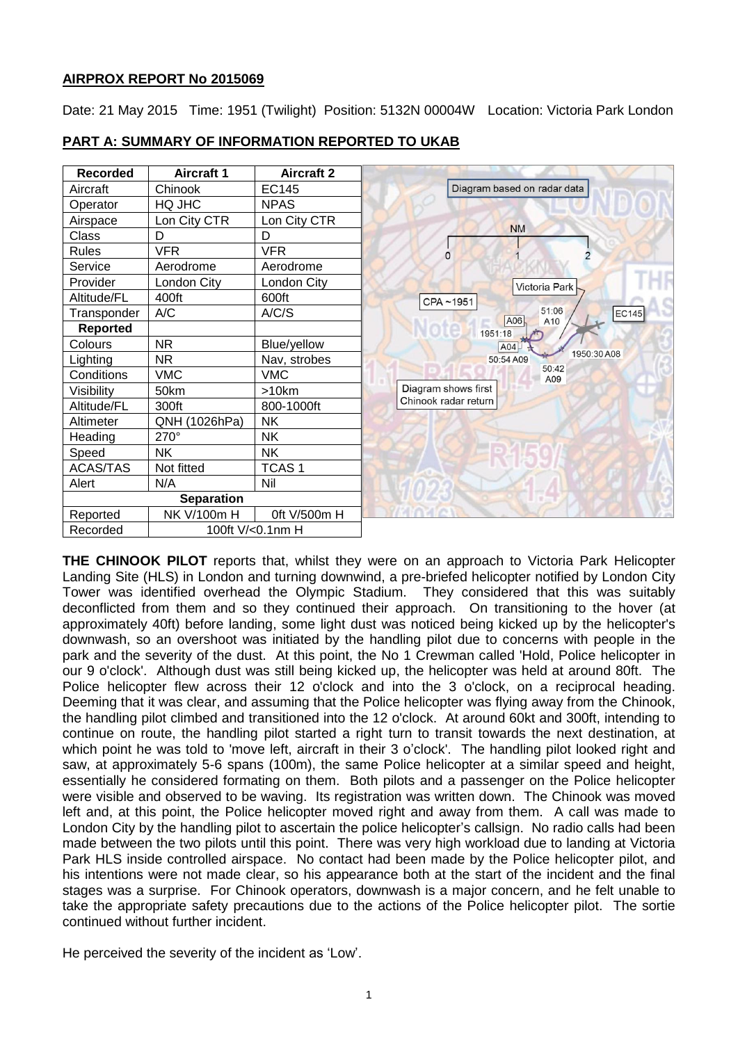# **AIRPROX REPORT No 2015069**

Date: 21 May 2015 Time: 1951 (Twilight) Position: 5132N 00004W Location: Victoria Park London

| <b>Recorded</b> | <b>Aircraft 1</b> | <b>Aircraft 2</b> |  |                      |           |                             |             |       |
|-----------------|-------------------|-------------------|--|----------------------|-----------|-----------------------------|-------------|-------|
| Aircraft        | Chinook           | <b>EC145</b>      |  |                      |           | Diagram based on radar data |             |       |
| Operator        | HQ JHC            | <b>NPAS</b>       |  |                      |           |                             |             |       |
| Airspace        | Lon City CTR      | Lon City CTR      |  |                      | <b>NM</b> |                             |             |       |
| Class           | D                 | D                 |  |                      |           |                             |             |       |
| <b>Rules</b>    | <b>VFR</b>        | <b>VFR</b>        |  | n                    |           |                             |             |       |
| Service         | Aerodrome         | Aerodrome         |  |                      |           |                             |             |       |
| Provider        | London City       | London City       |  |                      |           | Victoria Park               |             |       |
| Altitude/FL     | 400ft             | 600ft             |  | CPA~1951             |           |                             |             |       |
| Transponder     | A/C               | A/C/S             |  |                      | A06       | 51:06<br>A10                |             | EC145 |
| Reported        |                   |                   |  |                      | 1951:18   |                             |             |       |
| Colours         | <b>NR</b>         | Blue/yellow       |  |                      | A04       |                             |             |       |
| Lighting        | <b>NR</b>         | Nav, strobes      |  |                      | 50:54 A09 |                             | 1950:30 A08 |       |
| Conditions      | <b>VMC</b>        | <b>VMC</b>        |  |                      |           | 50:42<br>A09                |             |       |
| Visibility      | 50km              | >10km             |  | Diagram shows first  |           |                             |             |       |
| Altitude/FL     | 300ft             | 800-1000ft        |  | Chinook radar return |           |                             |             |       |
| Altimeter       | QNH (1026hPa)     | <b>NK</b>         |  |                      |           |                             |             |       |
| Heading         | 270°              | <b>NK</b>         |  |                      |           |                             |             |       |
| Speed           | <b>NK</b>         | <b>NK</b>         |  |                      |           |                             |             |       |
| <b>ACAS/TAS</b> | Not fitted        | TCAS <sub>1</sub> |  |                      |           |                             |             |       |
| Alert           | N/A               | Nil               |  |                      |           |                             |             |       |
|                 | <b>Separation</b> |                   |  |                      |           |                             |             |       |
| Reported        | NK V/100m H       | 0ft V/500m H      |  |                      |           |                             |             |       |
| Recorded        |                   | 100ft V/<0.1nm H  |  |                      |           |                             |             |       |

## **PART A: SUMMARY OF INFORMATION REPORTED TO UKAB**

**THE CHINOOK PILOT** reports that, whilst they were on an approach to Victoria Park Helicopter Landing Site (HLS) in London and turning downwind, a pre-briefed helicopter notified by London City Tower was identified overhead the Olympic Stadium. They considered that this was suitably deconflicted from them and so they continued their approach. On transitioning to the hover (at approximately 40ft) before landing, some light dust was noticed being kicked up by the helicopter's downwash, so an overshoot was initiated by the handling pilot due to concerns with people in the park and the severity of the dust. At this point, the No 1 Crewman called 'Hold, Police helicopter in our 9 o'clock'. Although dust was still being kicked up, the helicopter was held at around 80ft. The Police helicopter flew across their 12 o'clock and into the 3 o'clock, on a reciprocal heading. Deeming that it was clear, and assuming that the Police helicopter was flying away from the Chinook, the handling pilot climbed and transitioned into the 12 o'clock. At around 60kt and 300ft, intending to continue on route, the handling pilot started a right turn to transit towards the next destination, at which point he was told to 'move left, aircraft in their 3 o'clock'. The handling pilot looked right and saw, at approximately 5-6 spans (100m), the same Police helicopter at a similar speed and height, essentially he considered formating on them. Both pilots and a passenger on the Police helicopter were visible and observed to be waving. Its registration was written down. The Chinook was moved left and, at this point, the Police helicopter moved right and away from them. A call was made to London City by the handling pilot to ascertain the police helicopter's callsign. No radio calls had been made between the two pilots until this point. There was very high workload due to landing at Victoria Park HLS inside controlled airspace. No contact had been made by the Police helicopter pilot, and his intentions were not made clear, so his appearance both at the start of the incident and the final stages was a surprise. For Chinook operators, downwash is a major concern, and he felt unable to take the appropriate safety precautions due to the actions of the Police helicopter pilot. The sortie continued without further incident.

He perceived the severity of the incident as 'Low'.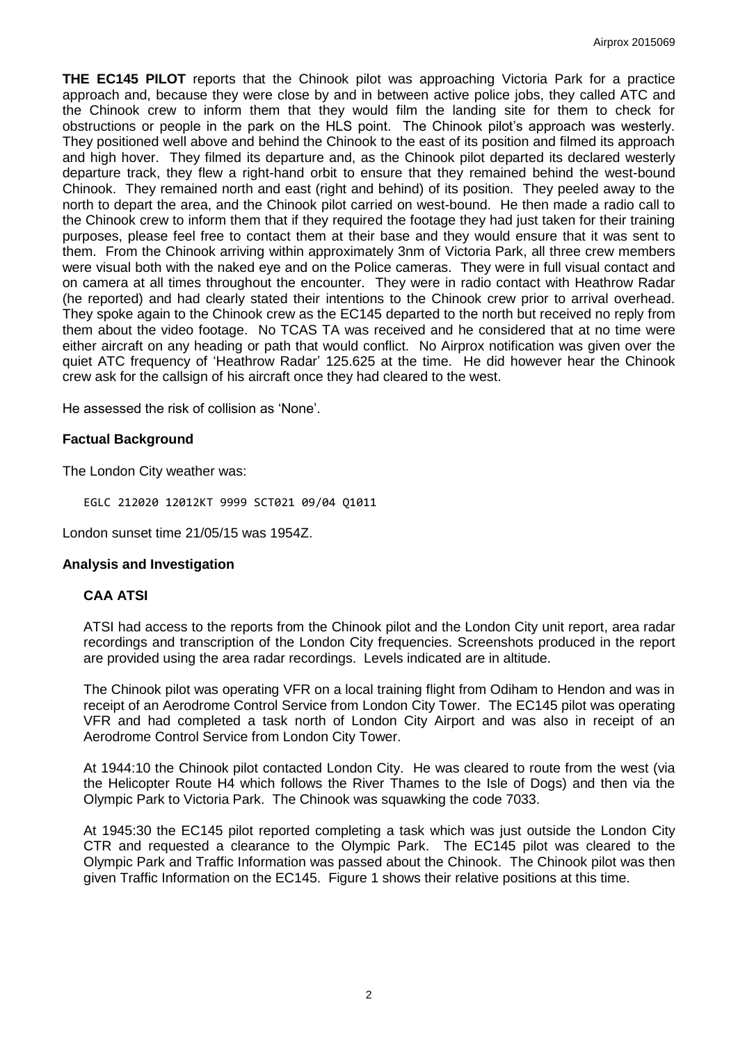**THE EC145 PILOT** reports that the Chinook pilot was approaching Victoria Park for a practice approach and, because they were close by and in between active police jobs, they called ATC and the Chinook crew to inform them that they would film the landing site for them to check for obstructions or people in the park on the HLS point. The Chinook pilot's approach was westerly. They positioned well above and behind the Chinook to the east of its position and filmed its approach and high hover. They filmed its departure and, as the Chinook pilot departed its declared westerly departure track, they flew a right-hand orbit to ensure that they remained behind the west-bound Chinook. They remained north and east (right and behind) of its position. They peeled away to the north to depart the area, and the Chinook pilot carried on west-bound. He then made a radio call to the Chinook crew to inform them that if they required the footage they had just taken for their training purposes, please feel free to contact them at their base and they would ensure that it was sent to them. From the Chinook arriving within approximately 3nm of Victoria Park, all three crew members were visual both with the naked eye and on the Police cameras. They were in full visual contact and on camera at all times throughout the encounter. They were in radio contact with Heathrow Radar (he reported) and had clearly stated their intentions to the Chinook crew prior to arrival overhead. They spoke again to the Chinook crew as the EC145 departed to the north but received no reply from them about the video footage. No TCAS TA was received and he considered that at no time were either aircraft on any heading or path that would conflict. No Airprox notification was given over the quiet ATC frequency of 'Heathrow Radar' 125.625 at the time. He did however hear the Chinook crew ask for the callsign of his aircraft once they had cleared to the west.

He assessed the risk of collision as 'None'.

# **Factual Background**

The London City weather was:

EGLC 212020 12012KT 9999 SCT021 09/04 Q1011

London sunset time 21/05/15 was 1954Z.

#### **Analysis and Investigation**

# **CAA ATSI**

ATSI had access to the reports from the Chinook pilot and the London City unit report, area radar recordings and transcription of the London City frequencies. Screenshots produced in the report are provided using the area radar recordings. Levels indicated are in altitude.

The Chinook pilot was operating VFR on a local training flight from Odiham to Hendon and was in receipt of an Aerodrome Control Service from London City Tower. The EC145 pilot was operating VFR and had completed a task north of London City Airport and was also in receipt of an Aerodrome Control Service from London City Tower.

At 1944:10 the Chinook pilot contacted London City. He was cleared to route from the west (via the Helicopter Route H4 which follows the River Thames to the Isle of Dogs) and then via the Olympic Park to Victoria Park. The Chinook was squawking the code 7033.

At 1945:30 the EC145 pilot reported completing a task which was just outside the London City CTR and requested a clearance to the Olympic Park. The EC145 pilot was cleared to the Olympic Park and Traffic Information was passed about the Chinook. The Chinook pilot was then given Traffic Information on the EC145. Figure 1 shows their relative positions at this time.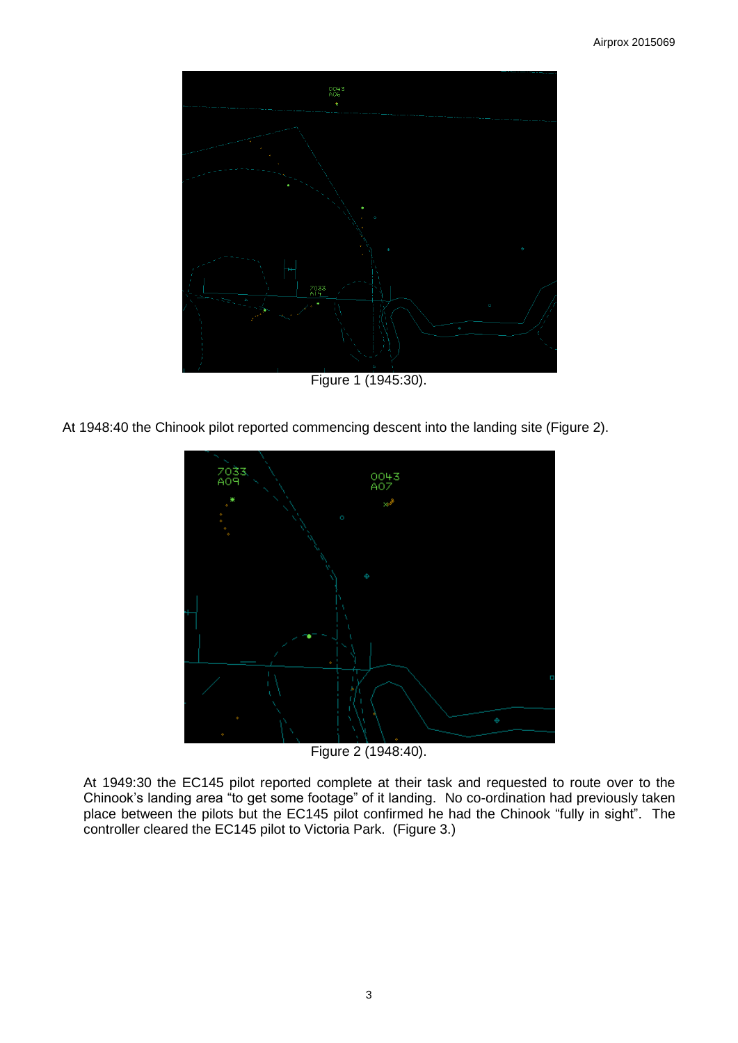

Figure 1 (1945:30).

At 1948:40 the Chinook pilot reported commencing descent into the landing site (Figure 2).



Figure 2 (1948:40).

At 1949:30 the EC145 pilot reported complete at their task and requested to route over to the Chinook's landing area "to get some footage" of it landing. No co-ordination had previously taken place between the pilots but the EC145 pilot confirmed he had the Chinook "fully in sight". The controller cleared the EC145 pilot to Victoria Park. (Figure 3.)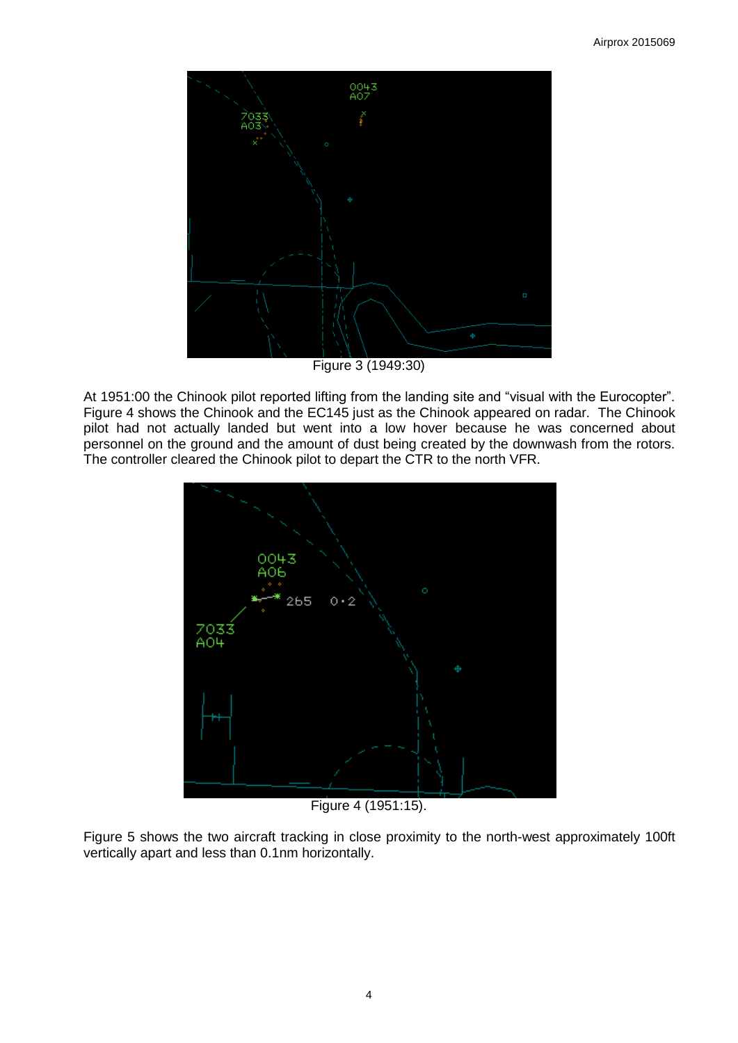

Figure 3 (1949:30)

At 1951:00 the Chinook pilot reported lifting from the landing site and "visual with the Eurocopter". Figure 4 shows the Chinook and the EC145 just as the Chinook appeared on radar. The Chinook pilot had not actually landed but went into a low hover because he was concerned about personnel on the ground and the amount of dust being created by the downwash from the rotors. The controller cleared the Chinook pilot to depart the CTR to the north VFR.



Figure 4 (1951:15).

Figure 5 shows the two aircraft tracking in close proximity to the north-west approximately 100ft vertically apart and less than 0.1nm horizontally.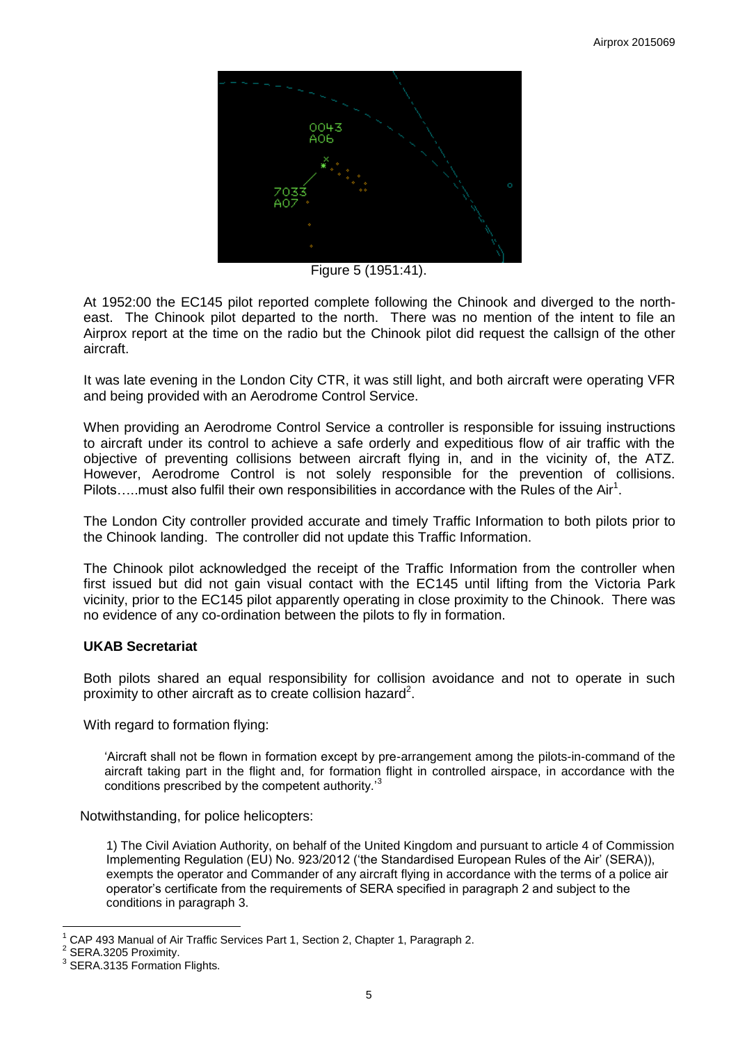

Figure 5 (1951:41).

At 1952:00 the EC145 pilot reported complete following the Chinook and diverged to the northeast. The Chinook pilot departed to the north. There was no mention of the intent to file an Airprox report at the time on the radio but the Chinook pilot did request the callsign of the other aircraft.

It was late evening in the London City CTR, it was still light, and both aircraft were operating VFR and being provided with an Aerodrome Control Service.

When providing an Aerodrome Control Service a controller is responsible for issuing instructions to aircraft under its control to achieve a safe orderly and expeditious flow of air traffic with the objective of preventing collisions between aircraft flying in, and in the vicinity of, the ATZ. However, Aerodrome Control is not solely responsible for the prevention of collisions. Pilots.....must also fulfil their own responsibilities in accordance with the Rules of the Air<sup>1</sup>.

The London City controller provided accurate and timely Traffic Information to both pilots prior to the Chinook landing. The controller did not update this Traffic Information.

The Chinook pilot acknowledged the receipt of the Traffic Information from the controller when first issued but did not gain visual contact with the EC145 until lifting from the Victoria Park vicinity, prior to the EC145 pilot apparently operating in close proximity to the Chinook. There was no evidence of any co-ordination between the pilots to fly in formation.

# **UKAB Secretariat**

Both pilots shared an equal responsibility for collision avoidance and not to operate in such proximity to other aircraft as to create collision hazard<sup>2</sup>.

With regard to formation flying:

'Aircraft shall not be flown in formation except by pre-arrangement among the pilots-in-command of the aircraft taking part in the flight and, for formation flight in controlled airspace, in accordance with the conditions prescribed by the competent authority.'<sup>3</sup>

Notwithstanding, for police helicopters:

1) The Civil Aviation Authority, on behalf of the United Kingdom and pursuant to article 4 of Commission Implementing Regulation (EU) No. 923/2012 ('the Standardised European Rules of the Air' (SERA)), exempts the operator and Commander of any aircraft flying in accordance with the terms of a police air operator's certificate from the requirements of SERA specified in paragraph 2 and subject to the conditions in paragraph 3.

 $\overline{a}$ 

<sup>1</sup> CAP 493 Manual of Air Traffic Services Part 1, Section 2, Chapter 1, Paragraph 2.

<sup>2</sup> SERA.3205 Proximity.

<sup>3</sup> SERA.3135 Formation Flights.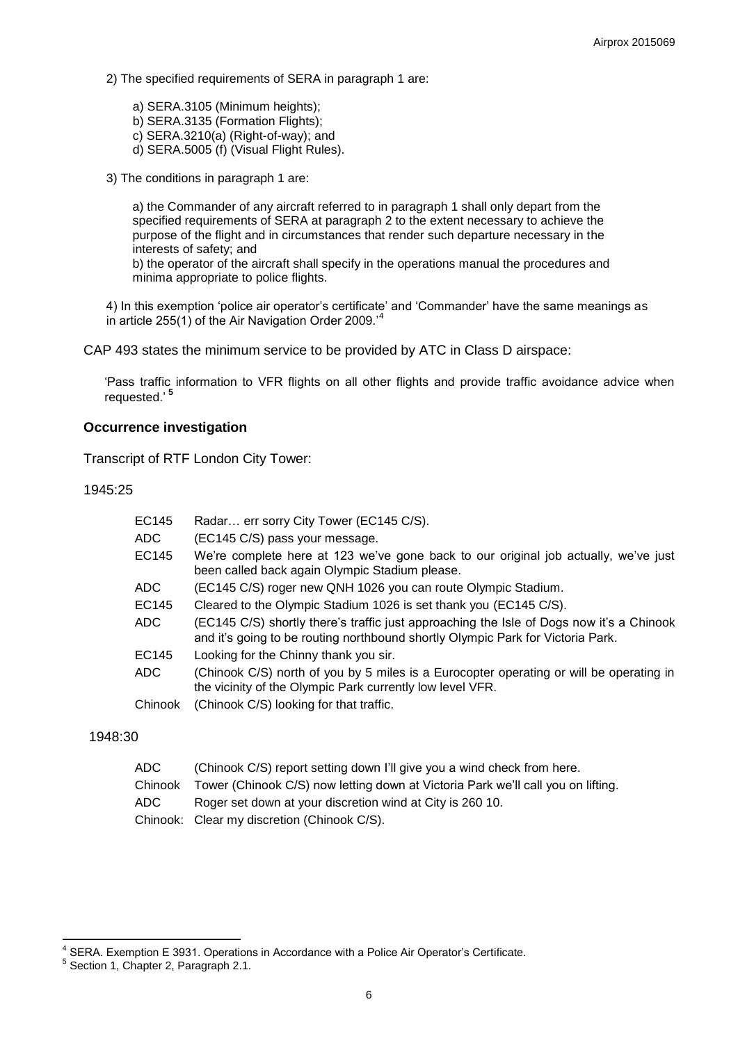2) The specified requirements of SERA in paragraph 1 are:

a) SERA.3105 (Minimum heights); b) SERA.3135 (Formation Flights); c) SERA.3210(a) (Right-of-way); and d) SERA.5005 (f) (Visual Flight Rules).

3) The conditions in paragraph 1 are:

a) the Commander of any aircraft referred to in paragraph 1 shall only depart from the specified requirements of SERA at paragraph 2 to the extent necessary to achieve the purpose of the flight and in circumstances that render such departure necessary in the interests of safety; and

b) the operator of the aircraft shall specify in the operations manual the procedures and minima appropriate to police flights.

4) In this exemption 'police air operator's certificate' and 'Commander' have the same meanings as in article 255(1) of the Air Navigation Order 2009.'

CAP 493 states the minimum service to be provided by ATC in Class D airspace:

'Pass traffic information to VFR flights on all other flights and provide traffic avoidance advice when requested.' **5**

#### **Occurrence investigation**

Transcript of RTF London City Tower:

1945:25

| EC145        | Radar err sorry City Tower (EC145 C/S).                                                                                                                                     |
|--------------|-----------------------------------------------------------------------------------------------------------------------------------------------------------------------------|
| ADC.         | (EC145 C/S) pass your message.                                                                                                                                              |
| EC145        | We're complete here at 123 we've gone back to our original job actually, we've just<br>been called back again Olympic Stadium please.                                       |
| ADC          | (EC145 C/S) roger new QNH 1026 you can route Olympic Stadium.                                                                                                               |
| <b>EC145</b> | Cleared to the Olympic Stadium 1026 is set thank you (EC145 C/S).                                                                                                           |
| ADC          | (EC145 C/S) shortly there's traffic just approaching the Isle of Dogs now it's a Chinook<br>and it's going to be routing northbound shortly Olympic Park for Victoria Park. |
| EC145        | Looking for the Chinny thank you sir.                                                                                                                                       |
| ADC          | (Chinook C/S) north of you by 5 miles is a Eurocopter operating or will be operating in<br>the vicinity of the Olympic Park currently low level VFR.                        |
| Chinook      | (Chinook C/S) looking for that traffic.                                                                                                                                     |

1948:30

| ADC  | (Chinook C/S) report setting down I'll give you a wind check from here.                  |
|------|------------------------------------------------------------------------------------------|
|      | Chinook Tower (Chinook C/S) now letting down at Victoria Park we'll call you on lifting. |
| ADC. | Roger set down at your discretion wind at City is 260 10.                                |
|      | Chinook: Clear my discretion (Chinook C/S).                                              |

 4 SERA. Exemption E 3931. Operations in Accordance with a Police Air Operator's Certificate.

<sup>5</sup> Section 1, Chapter 2, Paragraph 2.1.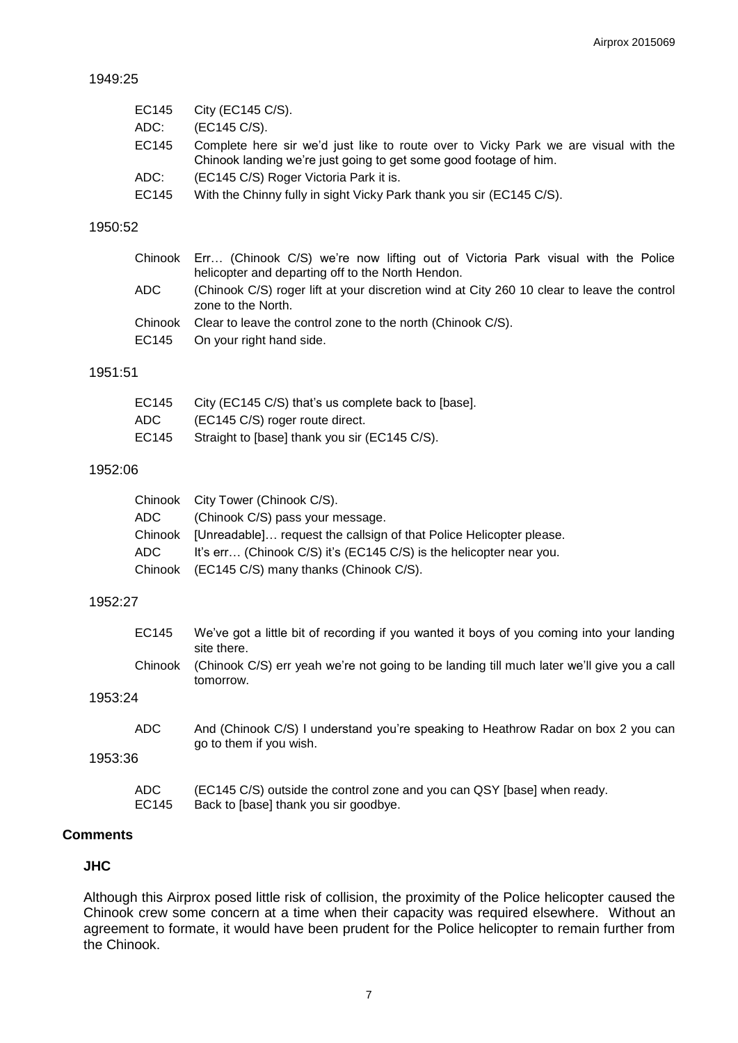## 1949:25

| EC145 | City (EC145 C/S).                                                                                                                                        |
|-------|----------------------------------------------------------------------------------------------------------------------------------------------------------|
| ADC:  | (EC145 C/S).                                                                                                                                             |
| EC145 | Complete here sir we'd just like to route over to Vicky Park we are visual with the<br>Chinook landing we're just going to get some good footage of him. |
| ADC:  | (EC145 C/S) Roger Victoria Park it is.                                                                                                                   |
| EC145 | With the Chinny fully in sight Vicky Park thank you sir (EC145 C/S).                                                                                     |

#### 1950:52

|      | Chinook Err (Chinook C/S) we're now lifting out of Victoria Park visual with the Police                          |
|------|------------------------------------------------------------------------------------------------------------------|
|      | helicopter and departing off to the North Hendon.                                                                |
| ADC. | (Chinook C/S) roger lift at your discretion wind at City 260 10 clear to leave the control<br>zone to the North. |
|      | Chinook Clear to leave the control zone to the north (Chinook C/S).                                              |
|      | EC145 On your right hand side.                                                                                   |

## 1951:51

| EC145 | City (EC145 C/S) that's us complete back to [base]. |
|-------|-----------------------------------------------------|
| ADC.  | (EC145 C/S) roger route direct.                     |
| EC145 | Straight to [base] thank you sir (EC145 C/S).       |

## 1952:06

|     | Chinook City Tower (Chinook C/S).                                           |
|-----|-----------------------------------------------------------------------------|
| ADC | (Chinook C/S) pass your message.                                            |
|     | Chinook [Unreadable] request the callsign of that Police Helicopter please. |
| ADC | It's err (Chinook C/S) it's (EC145 C/S) is the helicopter near you.         |
|     | Chinook (EC145 C/S) many thanks (Chinook C/S).                              |

#### 1952:27

|         | EC145         | We've got a little bit of recording if you wanted it boys of you coming into your landing<br>site there.         |
|---------|---------------|------------------------------------------------------------------------------------------------------------------|
|         | Chinook       | (Chinook C/S) err yeah we're not going to be landing till much later we'll give you a call<br>tomorrow.          |
| 1953:24 |               |                                                                                                                  |
|         | <b>ADC</b>    | And (Chinook C/S) I understand you're speaking to Heathrow Radar on box 2 you can<br>go to them if you wish.     |
| 1953:36 |               |                                                                                                                  |
|         | ADC.<br>EC145 | (EC145 C/S) outside the control zone and you can QSY [base] when ready.<br>Back to [base] thank you sir goodbye. |

## **Comments**

## **JHC**

Although this Airprox posed little risk of collision, the proximity of the Police helicopter caused the Chinook crew some concern at a time when their capacity was required elsewhere. Without an agreement to formate, it would have been prudent for the Police helicopter to remain further from the Chinook.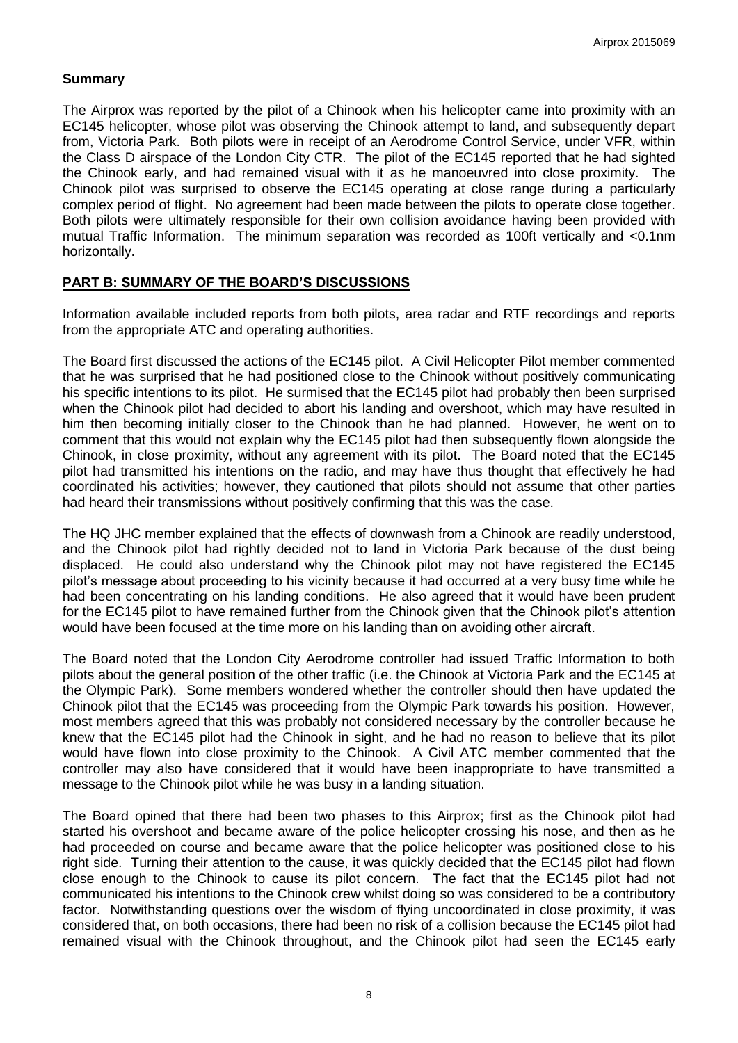## **Summary**

The Airprox was reported by the pilot of a Chinook when his helicopter came into proximity with an EC145 helicopter, whose pilot was observing the Chinook attempt to land, and subsequently depart from, Victoria Park. Both pilots were in receipt of an Aerodrome Control Service, under VFR, within the Class D airspace of the London City CTR. The pilot of the EC145 reported that he had sighted the Chinook early, and had remained visual with it as he manoeuvred into close proximity. The Chinook pilot was surprised to observe the EC145 operating at close range during a particularly complex period of flight. No agreement had been made between the pilots to operate close together. Both pilots were ultimately responsible for their own collision avoidance having been provided with mutual Traffic Information. The minimum separation was recorded as 100ft vertically and <0.1nm horizontally.

## **PART B: SUMMARY OF THE BOARD'S DISCUSSIONS**

Information available included reports from both pilots, area radar and RTF recordings and reports from the appropriate ATC and operating authorities.

The Board first discussed the actions of the EC145 pilot. A Civil Helicopter Pilot member commented that he was surprised that he had positioned close to the Chinook without positively communicating his specific intentions to its pilot. He surmised that the EC145 pilot had probably then been surprised when the Chinook pilot had decided to abort his landing and overshoot, which may have resulted in him then becoming initially closer to the Chinook than he had planned. However, he went on to comment that this would not explain why the EC145 pilot had then subsequently flown alongside the Chinook, in close proximity, without any agreement with its pilot. The Board noted that the EC145 pilot had transmitted his intentions on the radio, and may have thus thought that effectively he had coordinated his activities; however, they cautioned that pilots should not assume that other parties had heard their transmissions without positively confirming that this was the case.

The HQ JHC member explained that the effects of downwash from a Chinook are readily understood, and the Chinook pilot had rightly decided not to land in Victoria Park because of the dust being displaced. He could also understand why the Chinook pilot may not have registered the EC145 pilot's message about proceeding to his vicinity because it had occurred at a very busy time while he had been concentrating on his landing conditions. He also agreed that it would have been prudent for the EC145 pilot to have remained further from the Chinook given that the Chinook pilot's attention would have been focused at the time more on his landing than on avoiding other aircraft.

The Board noted that the London City Aerodrome controller had issued Traffic Information to both pilots about the general position of the other traffic (i.e. the Chinook at Victoria Park and the EC145 at the Olympic Park). Some members wondered whether the controller should then have updated the Chinook pilot that the EC145 was proceeding from the Olympic Park towards his position. However, most members agreed that this was probably not considered necessary by the controller because he knew that the EC145 pilot had the Chinook in sight, and he had no reason to believe that its pilot would have flown into close proximity to the Chinook. A Civil ATC member commented that the controller may also have considered that it would have been inappropriate to have transmitted a message to the Chinook pilot while he was busy in a landing situation.

The Board opined that there had been two phases to this Airprox; first as the Chinook pilot had started his overshoot and became aware of the police helicopter crossing his nose, and then as he had proceeded on course and became aware that the police helicopter was positioned close to his right side. Turning their attention to the cause, it was quickly decided that the EC145 pilot had flown close enough to the Chinook to cause its pilot concern. The fact that the EC145 pilot had not communicated his intentions to the Chinook crew whilst doing so was considered to be a contributory factor. Notwithstanding questions over the wisdom of flying uncoordinated in close proximity, it was considered that, on both occasions, there had been no risk of a collision because the EC145 pilot had remained visual with the Chinook throughout, and the Chinook pilot had seen the EC145 early